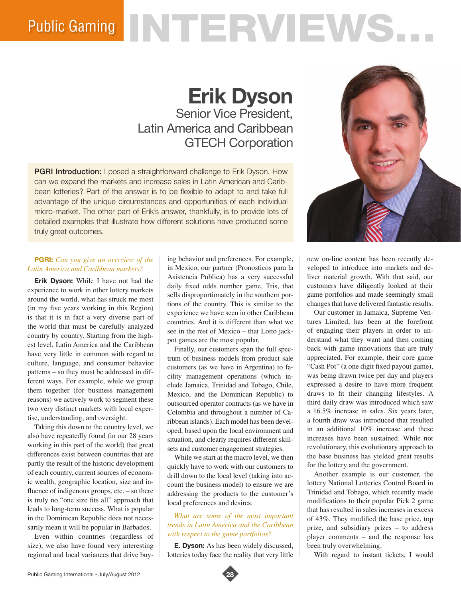# Public Gaming NTERVIEWS.

# **Erik Dyson**

Senior Vice President, Latin America and Caribbean GTECH Corporation

**PGRI Introduction:** I posed a straightforward challenge to Erik Dyson. How can we expand the markets and increase sales in Latin American and Caribbean lotteries? Part of the answer is to be flexible to adapt to and take full advantage of the unique circumstances and opportunities of each individual micro-market. The other part of Erik's answer, thankfully, is to provide lots of detailed examples that illustrate how different solutions have produced some truly great outcomes.

# **PGRI:** *Can you give an overview of the Latin America and Caribbean markets?*

**Erik Dyson:** While I have not had the experience to work in other lottery markets around the world, what has struck me most (in my five years working in this Region) is that it is in fact a very diverse part of the world that must be carefully analyzed country by country. Starting from the highest level, Latin America and the Caribbean have very little in common with regard to culture, language, and consumer behavior patterns – so they must be addressed in different ways. For example, while we group them together (for business management reasons) we actively work to segment these two very distinct markets with local expertise, understanding, and oversight.

Taking this down to the country level, we also have repeatedly found (in our 28 years working in this part of the world) that great differences exist between countries that are partly the result of the historic development of each country, current sources of economic wealth, geographic location, size and influence of indigenous groups, etc. – so there is truly no "one size fits all" approach that leads to long-term success. What is popular in the Dominican Republic does not necessarily mean it will be popular in Barbados.

Even within countries (regardless of size), we also have found very interesting regional and local variances that drive buying behavior and preferences. For example, in Mexico, our partner (Pronosticos para la Asistencia Publica) has a very successful daily fixed odds number game, Tris, that sells disproportionately in the southern portions of the country. This is similar to the experience we have seen in other Caribbean countries. And it is different than what we see in the rest of Mexico – that Lotto jackpot games are the most popular.

Finally, our customers span the full spectrum of business models from product sale customers (as we have in Argentina) to facility management operations (which include Jamaica, Trinidad and Tobago, Chile, Mexico, and the Dominican Republic) to outsourced operator contracts (as we have in Colombia and throughout a number of Caribbean islands). Each model has been developed, based upon the local environment and situation, and clearly requires different skillsets and customer engagement strategies.

While we start at the macro level, we then quickly have to work with our customers to drill down to the local level (taking into account the business model) to ensure we are addressing the products to the customer's local preferences and desires.

#### *What are some of the most important trends in Latin America and the Caribbean with respect to the game portfolios?*

**E. Dyson:** As has been widely discussed, lotteries today face the reality that very little



new on-line content has been recently developed to introduce into markets and deliver material growth. With that said, our customers have diligently looked at their game portfolios and made seemingly small changes that have delivered fantastic results.

Our customer in Jamaica, Supreme Ventures Limited, has been at the forefront of engaging their players in order to understand what they want and then coming back with game innovations that are truly appreciated. For example, their core game "Cash Pot" (a one digit fixed payout game), was being drawn twice per day and players expressed a desire to have more frequent draws to fit their changing lifestyles. A third daily draw was introduced which saw a 16.5% increase in sales. Six years later, a fourth draw was introduced that resulted in an additional 10% increase and these increases have been sustained. While not revolutionary, this evolutionary approach to the base business has yielded great results for the lottery and the government.

Another example is our customer, the lottery National Lotteries Control Board in Trinidad and Tobago, which recently made modifications to their popular Pick 2 game that has resulted in sales increases in excess of 43%. They modified the base price, top prize, and subsidiary prizes – to address player comments – and the response has been truly overwhelming.

With regard to instant tickets, I would